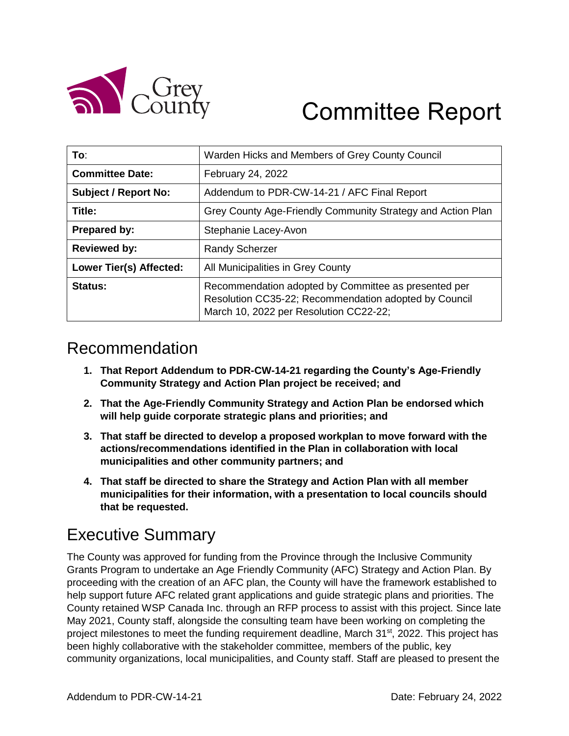

# Committee Report

| To:                            | Warden Hicks and Members of Grey County Council                                                                                                         |  |
|--------------------------------|---------------------------------------------------------------------------------------------------------------------------------------------------------|--|
| <b>Committee Date:</b>         | February 24, 2022                                                                                                                                       |  |
| <b>Subject / Report No:</b>    | Addendum to PDR-CW-14-21 / AFC Final Report                                                                                                             |  |
| Title:                         | Grey County Age-Friendly Community Strategy and Action Plan                                                                                             |  |
| <b>Prepared by:</b>            | Stephanie Lacey-Avon                                                                                                                                    |  |
| <b>Reviewed by:</b>            | <b>Randy Scherzer</b>                                                                                                                                   |  |
| <b>Lower Tier(s) Affected:</b> | All Municipalities in Grey County                                                                                                                       |  |
| Status:                        | Recommendation adopted by Committee as presented per<br>Resolution CC35-22; Recommendation adopted by Council<br>March 10, 2022 per Resolution CC22-22; |  |

### Recommendation

- **1. That Report Addendum to PDR-CW-14-21 regarding the County's Age-Friendly Community Strategy and Action Plan project be received; and**
- **2. That the Age-Friendly Community Strategy and Action Plan be endorsed which will help guide corporate strategic plans and priorities; and**
- **3. That staff be directed to develop a proposed workplan to move forward with the actions/recommendations identified in the Plan in collaboration with local municipalities and other community partners; and**
- **4. That staff be directed to share the Strategy and Action Plan with all member municipalities for their information, with a presentation to local councils should that be requested.**

### Executive Summary

The County was approved for funding from the Province through the Inclusive Community Grants Program to undertake an Age Friendly Community (AFC) Strategy and Action Plan. By proceeding with the creation of an AFC plan, the County will have the framework established to help support future AFC related grant applications and guide strategic plans and priorities. The County retained WSP Canada Inc. through an RFP process to assist with this project. Since late May 2021, County staff, alongside the consulting team have been working on completing the project milestones to meet the funding requirement deadline, March 31<sup>st</sup>, 2022. This project has been highly collaborative with the stakeholder committee, members of the public, key community organizations, local municipalities, and County staff. Staff are pleased to present the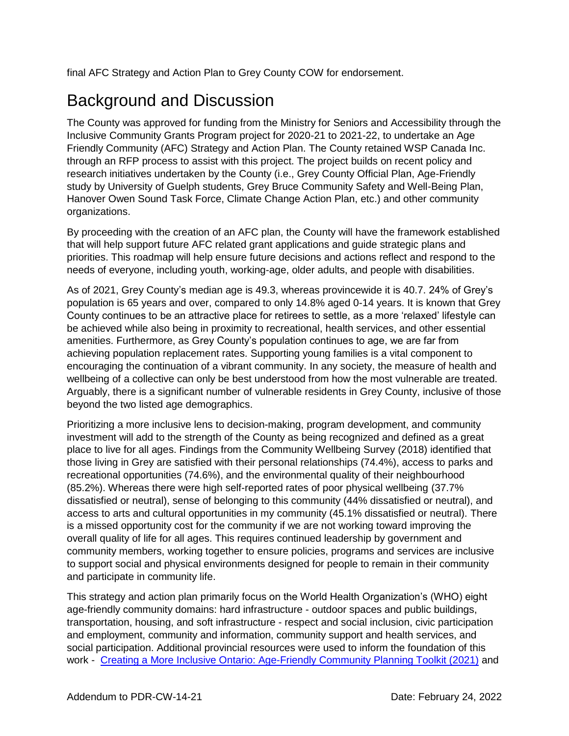final AFC Strategy and Action Plan to Grey County COW for endorsement.

### Background and Discussion

The County was approved for funding from the Ministry for Seniors and Accessibility through the Inclusive Community Grants Program project for 2020-21 to 2021-22, to undertake an Age Friendly Community (AFC) Strategy and Action Plan. The County retained WSP Canada Inc. through an RFP process to assist with this project. The project builds on recent policy and research initiatives undertaken by the County (i.e., Grey County Official Plan, Age-Friendly study by University of Guelph students, Grey Bruce Community Safety and Well-Being Plan, Hanover Owen Sound Task Force, Climate Change Action Plan, etc.) and other community organizations.

By proceeding with the creation of an AFC plan, the County will have the framework established that will help support future AFC related grant applications and guide strategic plans and priorities. This roadmap will help ensure future decisions and actions reflect and respond to the needs of everyone, including youth, working-age, older adults, and people with disabilities.

As of 2021, Grey County's median age is 49.3, whereas provincewide it is 40.7. 24% of Grey's population is 65 years and over, compared to only 14.8% aged 0-14 years. It is known that Grey County continues to be an attractive place for retirees to settle, as a more 'relaxed' lifestyle can be achieved while also being in proximity to recreational, health services, and other essential amenities. Furthermore, as Grey County's population continues to age, we are far from achieving population replacement rates. Supporting young families is a vital component to encouraging the continuation of a vibrant community. In any society, the measure of health and wellbeing of a collective can only be best understood from how the most vulnerable are treated. Arguably, there is a significant number of vulnerable residents in Grey County, inclusive of those beyond the two listed age demographics.

Prioritizing a more inclusive lens to decision-making, program development, and community investment will add to the strength of the County as being recognized and defined as a great place to live for all ages. Findings from the Community Wellbeing Survey (2018) identified that those living in Grey are satisfied with their personal relationships (74.4%), access to parks and recreational opportunities (74.6%), and the environmental quality of their neighbourhood (85.2%). Whereas there were high self-reported rates of poor physical wellbeing (37.7% dissatisfied or neutral), sense of belonging to this community (44% dissatisfied or neutral), and access to arts and cultural opportunities in my community (45.1% dissatisfied or neutral). There is a missed opportunity cost for the community if we are not working toward improving the overall quality of life for all ages. This requires continued leadership by government and community members, working together to ensure policies, programs and services are inclusive to support social and physical environments designed for people to remain in their community and participate in community life.

This strategy and action plan primarily focus on the World Health Organization's (WHO) eight age-friendly community domains: hard infrastructure - outdoor spaces and public buildings, transportation, housing, and soft infrastructure - respect and social inclusion, civic participation and employment, community and information, community support and health services, and social participation. Additional provincial resources were used to inform the foundation of this work - Creating a More Inclusive Ontario: [Age-Friendly Community Planning Toolkit \(2021\)](https://files.ontario.ca/msaa-age-friendly-community-planning-toolkit-en-2021-01-01.pdf) and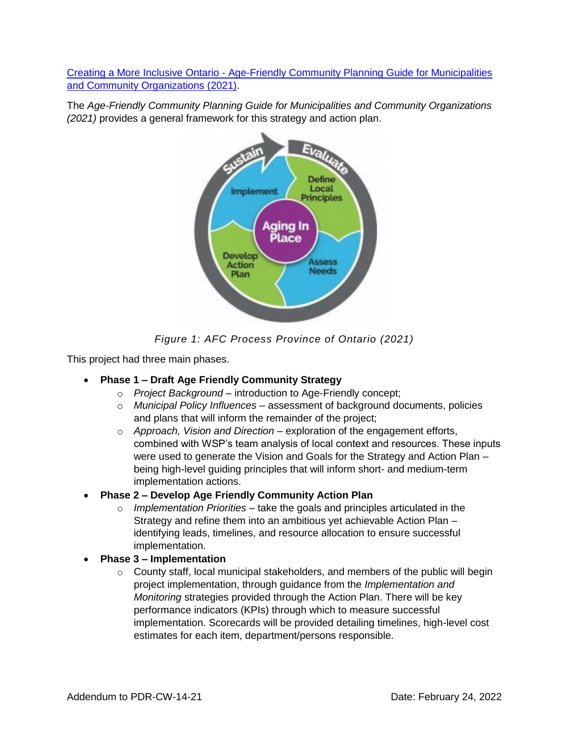Creating a More Inclusive Ontario - [Age-Friendly Community Planning Guide for Municipalities](https://files.ontario.ca/msaa-age-friendly-community-planning-guide-municipalities-community-organizations-en-2021-01-01.pdf)  [and Community Organizations \(2021\).](https://files.ontario.ca/msaa-age-friendly-community-planning-guide-municipalities-community-organizations-en-2021-01-01.pdf)

The *Age-Friendly Community Planning Guide for Municipalities and Community Organizations (2021)* provides a general framework for this strategy and action plan.



*Figure 1: AFC Process Province of Ontario (2021)*

This project had three main phases.

#### **Phase 1 – Draft Age Friendly Community Strategy**

- o *Project Background* introduction to Age-Friendly concept;
- o *Municipal Policy Influences* assessment of background documents, policies and plans that will inform the remainder of the project;
- o *Approach, Vision and Direction* exploration of the engagement efforts, combined with WSP's team analysis of local context and resources. These inputs were used to generate the Vision and Goals for the Strategy and Action Plan – being high-level guiding principles that will inform short- and medium-term implementation actions.
- **Phase 2 – Develop Age Friendly Community Action Plan** 
	- o *Implementation Priorities*  take the goals and principles articulated in the Strategy and refine them into an ambitious yet achievable Action Plan – identifying leads, timelines, and resource allocation to ensure successful implementation.
- **Phase 3 – Implementation**
	- o County staff, local municipal stakeholders, and members of the public will begin project implementation, through guidance from the *Implementation and Monitoring* strategies provided through the Action Plan. There will be key performance indicators (KPIs) through which to measure successful implementation. Scorecards will be provided detailing timelines, high-level cost estimates for each item, department/persons responsible.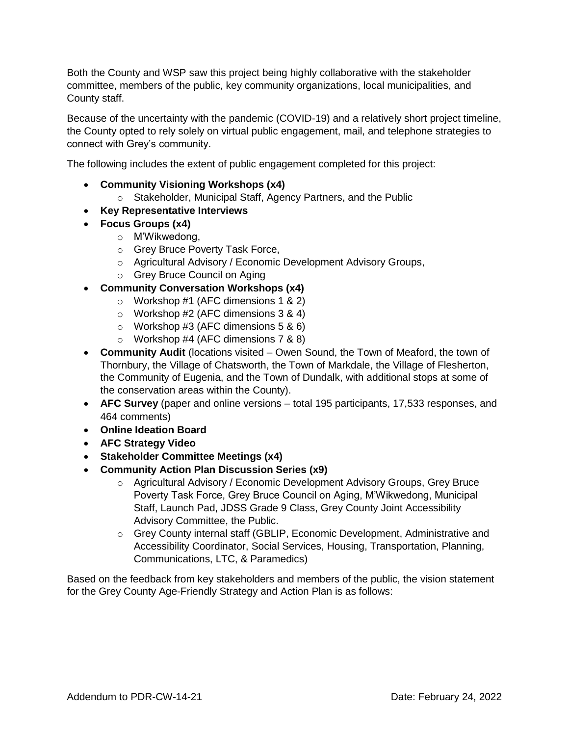Both the County and WSP saw this project being highly collaborative with the stakeholder committee, members of the public, key community organizations, local municipalities, and County staff.

Because of the uncertainty with the pandemic (COVID-19) and a relatively short project timeline, the County opted to rely solely on virtual public engagement, mail, and telephone strategies to connect with Grey's community.

The following includes the extent of public engagement completed for this project:

- **Community Visioning Workshops (x4)**
	- o Stakeholder, Municipal Staff, Agency Partners, and the Public
- **Key Representative Interviews**
- **Focus Groups (x4)**
	- o M'Wikwedong,
	- o Grey Bruce Poverty Task Force,
	- o Agricultural Advisory / Economic Development Advisory Groups,
	- o Grey Bruce Council on Aging
- **Community Conversation Workshops (x4)**
	- o Workshop #1 (AFC dimensions 1 & 2)
	- o Workshop #2 (AFC dimensions 3 & 4)
	- $\circ$  Workshop #3 (AFC dimensions 5 & 6)
	- o Workshop #4 (AFC dimensions 7 & 8)
- **Community Audit** (locations visited Owen Sound, the Town of Meaford, the town of Thornbury, the Village of Chatsworth, the Town of Markdale, the Village of Flesherton, the Community of Eugenia, and the Town of Dundalk, with additional stops at some of the conservation areas within the County).
- **AFC Survey** (paper and online versions total 195 participants, 17,533 responses, and 464 comments)
- **Online Ideation Board**
- **AFC Strategy Video**
- **Stakeholder Committee Meetings (x4)**
- **Community Action Plan Discussion Series (x9)**
	- o Agricultural Advisory / Economic Development Advisory Groups, Grey Bruce Poverty Task Force, Grey Bruce Council on Aging, M'Wikwedong, Municipal Staff, Launch Pad, JDSS Grade 9 Class, Grey County Joint Accessibility Advisory Committee, the Public.
	- o Grey County internal staff (GBLIP, Economic Development, Administrative and Accessibility Coordinator, Social Services, Housing, Transportation, Planning, Communications, LTC, & Paramedics)

Based on the feedback from key stakeholders and members of the public, the vision statement for the Grey County Age-Friendly Strategy and Action Plan is as follows: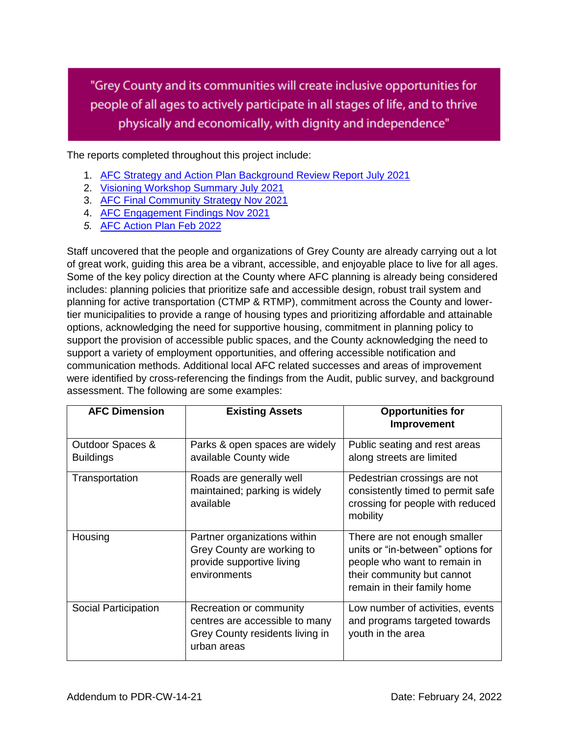"Grey County and its communities will create inclusive opportunities for people of all ages to actively participate in all stages of life, and to thrive physically and economically, with dignity and independence"

The reports completed throughout this project include:

- 1. [AFC Strategy and Action Plan Background Review Report July 2021](https://docs.grey.ca/share/public?nodeRef=workspace://SpacesStore/56361689-d05a-4a4d-a77e-a6cab6c29571)
- 2. [Visioning Workshop Summary July 2021](https://docs.grey.ca/share/public?nodeRef=workspace://SpacesStore/bc66783a-5e5d-4875-a06f-151604279726)
- 3. [AFC Final Community Strategy Nov 2021](https://docs.grey.ca/share/public?nodeRef=workspace://SpacesStore/2a1059d3-8779-40f0-a0e4-8828789d2b39)
- 4. [AFC Engagement Findings Nov 2021](https://docs.grey.ca/share/public?nodeRef=workspace://SpacesStore/85cb21ed-14c7-41e4-b2f3-84dd0149fee1)
- *5.* [AFC Action Plan Feb 2022](https://docs.grey.ca/share/public?nodeRef=workspace://SpacesStore/4bcc2c47-861b-4f64-b0f6-32e988434898)

Staff uncovered that the people and organizations of Grey County are already carrying out a lot of great work, guiding this area be a vibrant, accessible, and enjoyable place to live for all ages. Some of the key policy direction at the County where AFC planning is already being considered includes: planning policies that prioritize safe and accessible design, robust trail system and planning for active transportation (CTMP & RTMP), commitment across the County and lowertier municipalities to provide a range of housing types and prioritizing affordable and attainable options, acknowledging the need for supportive housing, commitment in planning policy to support the provision of accessible public spaces, and the County acknowledging the need to support a variety of employment opportunities, and offering accessible notification and communication methods. Additional local AFC related successes and areas of improvement were identified by cross-referencing the findings from the Audit, public survey, and background assessment. The following are some examples:

| <b>AFC Dimension</b>                 | <b>Existing Assets</b>                                                                                      | <b>Opportunities for</b><br>Improvement                                                                                                                        |
|--------------------------------------|-------------------------------------------------------------------------------------------------------------|----------------------------------------------------------------------------------------------------------------------------------------------------------------|
| Outdoor Spaces &<br><b>Buildings</b> | Parks & open spaces are widely<br>available County wide                                                     | Public seating and rest areas<br>along streets are limited                                                                                                     |
| Transportation                       | Roads are generally well<br>maintained; parking is widely<br>available                                      | Pedestrian crossings are not<br>consistently timed to permit safe<br>crossing for people with reduced<br>mobility                                              |
| Housing                              | Partner organizations within<br>Grey County are working to<br>provide supportive living<br>environments     | There are not enough smaller<br>units or "in-between" options for<br>people who want to remain in<br>their community but cannot<br>remain in their family home |
| Social Participation                 | Recreation or community<br>centres are accessible to many<br>Grey County residents living in<br>urban areas | Low number of activities, events<br>and programs targeted towards<br>youth in the area                                                                         |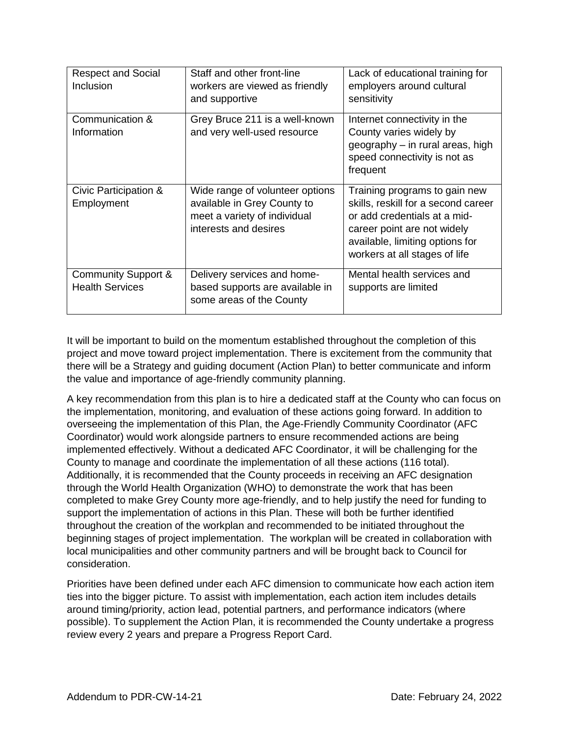| <b>Respect and Social</b><br>Inclusion                   | Staff and other front-line<br>workers are viewed as friendly<br>and supportive                                          | Lack of educational training for<br>employers around cultural<br>sensitivity                                                                                                                            |
|----------------------------------------------------------|-------------------------------------------------------------------------------------------------------------------------|---------------------------------------------------------------------------------------------------------------------------------------------------------------------------------------------------------|
| Communication &<br>Information                           | Grey Bruce 211 is a well-known<br>and very well-used resource                                                           | Internet connectivity in the<br>County varies widely by<br>geography - in rural areas, high<br>speed connectivity is not as<br>frequent                                                                 |
| Civic Participation &<br>Employment                      | Wide range of volunteer options<br>available in Grey County to<br>meet a variety of individual<br>interests and desires | Training programs to gain new<br>skills, reskill for a second career<br>or add credentials at a mid-<br>career point are not widely<br>available, limiting options for<br>workers at all stages of life |
| <b>Community Support &amp;</b><br><b>Health Services</b> | Delivery services and home-<br>based supports are available in<br>some areas of the County                              | Mental health services and<br>supports are limited                                                                                                                                                      |

It will be important to build on the momentum established throughout the completion of this project and move toward project implementation. There is excitement from the community that there will be a Strategy and guiding document (Action Plan) to better communicate and inform the value and importance of age-friendly community planning.

A key recommendation from this plan is to hire a dedicated staff at the County who can focus on the implementation, monitoring, and evaluation of these actions going forward. In addition to overseeing the implementation of this Plan, the Age-Friendly Community Coordinator (AFC Coordinator) would work alongside partners to ensure recommended actions are being implemented effectively. Without a dedicated AFC Coordinator, it will be challenging for the County to manage and coordinate the implementation of all these actions (116 total). Additionally, it is recommended that the County proceeds in receiving an AFC designation through the World Health Organization (WHO) to demonstrate the work that has been completed to make Grey County more age-friendly, and to help justify the need for funding to support the implementation of actions in this Plan. These will both be further identified throughout the creation of the workplan and recommended to be initiated throughout the beginning stages of project implementation. The workplan will be created in collaboration with local municipalities and other community partners and will be brought back to Council for consideration.

Priorities have been defined under each AFC dimension to communicate how each action item ties into the bigger picture. To assist with implementation, each action item includes details around timing/priority, action lead, potential partners, and performance indicators (where possible). To supplement the Action Plan, it is recommended the County undertake a progress review every 2 years and prepare a Progress Report Card.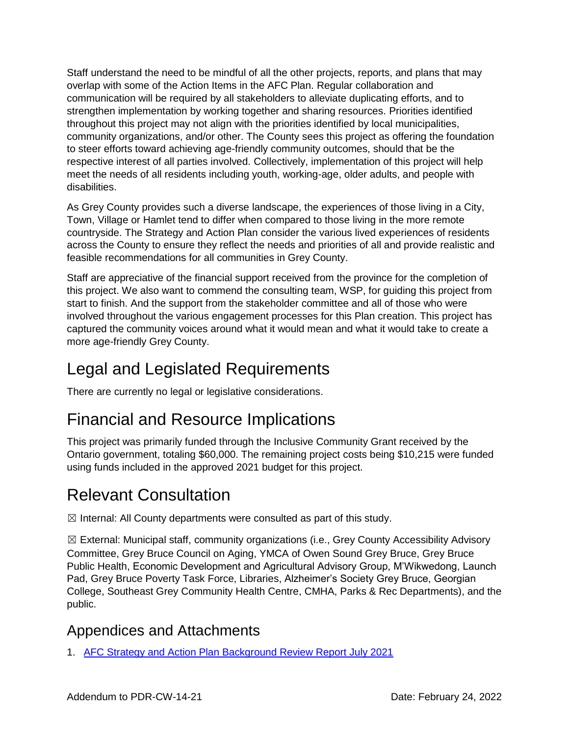Staff understand the need to be mindful of all the other projects, reports, and plans that may overlap with some of the Action Items in the AFC Plan. Regular collaboration and communication will be required by all stakeholders to alleviate duplicating efforts, and to strengthen implementation by working together and sharing resources. Priorities identified throughout this project may not align with the priorities identified by local municipalities, community organizations, and/or other. The County sees this project as offering the foundation to steer efforts toward achieving age-friendly community outcomes, should that be the respective interest of all parties involved. Collectively, implementation of this project will help meet the needs of all residents including youth, working-age, older adults, and people with disabilities.

As Grey County provides such a diverse landscape, the experiences of those living in a City, Town, Village or Hamlet tend to differ when compared to those living in the more remote countryside. The Strategy and Action Plan consider the various lived experiences of residents across the County to ensure they reflect the needs and priorities of all and provide realistic and feasible recommendations for all communities in Grey County.

Staff are appreciative of the financial support received from the province for the completion of this project. We also want to commend the consulting team, WSP, for guiding this project from start to finish. And the support from the stakeholder committee and all of those who were involved throughout the various engagement processes for this Plan creation. This project has captured the community voices around what it would mean and what it would take to create a more age-friendly Grey County.

## Legal and Legislated Requirements

There are currently no legal or legislative considerations.

## Financial and Resource Implications

This project was primarily funded through the Inclusive Community Grant received by the Ontario government, totaling \$60,000. The remaining project costs being \$10,215 were funded using funds included in the approved 2021 budget for this project.

### Relevant Consultation

 $\boxtimes$  Internal: All County departments were consulted as part of this study.

 $\boxtimes$  External: Municipal staff, community organizations (i.e., Grey County Accessibility Advisory Committee, Grey Bruce Council on Aging, YMCA of Owen Sound Grey Bruce, Grey Bruce Public Health, Economic Development and Agricultural Advisory Group, M'Wikwedong, Launch Pad, Grey Bruce Poverty Task Force, Libraries, Alzheimer's Society Grey Bruce, Georgian College, Southeast Grey Community Health Centre, CMHA, Parks & Rec Departments), and the public.

### Appendices and Attachments

1. [AFC Strategy and Action Plan Background Review Report July 2021](https://docs.grey.ca/share/public?nodeRef=workspace://SpacesStore/56361689-d05a-4a4d-a77e-a6cab6c29571)